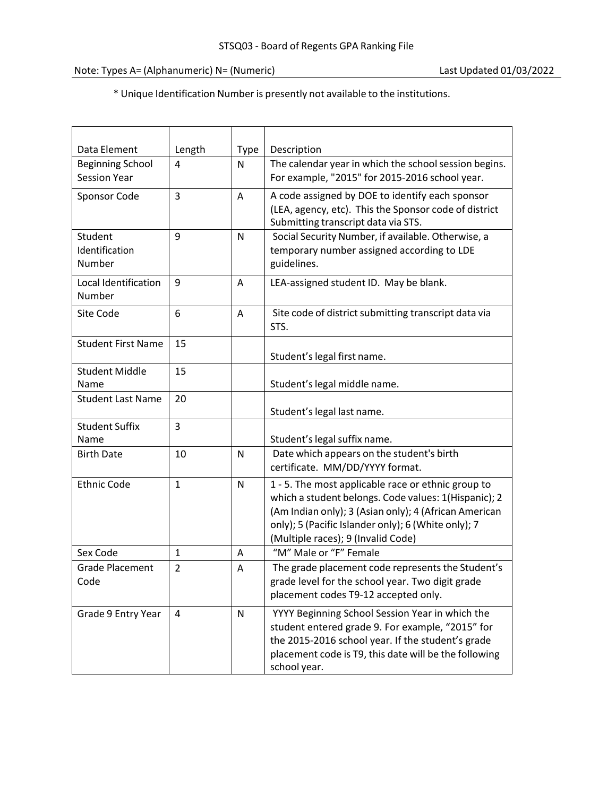\* Unique Identification Number is presently not available to the institutions.

| Data Element                                   | Length         | <b>Type</b> | Description                                                                                                                                                                                                                                                      |
|------------------------------------------------|----------------|-------------|------------------------------------------------------------------------------------------------------------------------------------------------------------------------------------------------------------------------------------------------------------------|
| <b>Beginning School</b><br><b>Session Year</b> | 4              | N           | The calendar year in which the school session begins.<br>For example, "2015" for 2015-2016 school year.                                                                                                                                                          |
| Sponsor Code                                   | 3              | A           | A code assigned by DOE to identify each sponsor<br>(LEA, agency, etc). This the Sponsor code of district<br>Submitting transcript data via STS.                                                                                                                  |
| Student<br>Identification<br>Number            | 9              | N           | Social Security Number, if available. Otherwise, a<br>temporary number assigned according to LDE<br>guidelines.                                                                                                                                                  |
| Local Identification<br>Number                 | 9              | Α           | LEA-assigned student ID. May be blank.                                                                                                                                                                                                                           |
| Site Code                                      | 6              | A           | Site code of district submitting transcript data via<br>STS.                                                                                                                                                                                                     |
| <b>Student First Name</b>                      | 15             |             | Student's legal first name.                                                                                                                                                                                                                                      |
| <b>Student Middle</b><br>Name                  | 15             |             | Student's legal middle name.                                                                                                                                                                                                                                     |
| <b>Student Last Name</b>                       | 20             |             | Student's legal last name.                                                                                                                                                                                                                                       |
| <b>Student Suffix</b><br>Name                  | 3              |             | Student's legal suffix name.                                                                                                                                                                                                                                     |
| <b>Birth Date</b>                              | 10             | N           | Date which appears on the student's birth<br>certificate. MM/DD/YYYY format.                                                                                                                                                                                     |
| <b>Ethnic Code</b>                             | $\mathbf{1}$   | N           | 1 - 5. The most applicable race or ethnic group to<br>which a student belongs. Code values: 1(Hispanic); 2<br>(Am Indian only); 3 (Asian only); 4 (African American<br>only); 5 (Pacific Islander only); 6 (White only); 7<br>(Multiple races); 9 (Invalid Code) |
| Sex Code                                       | 1              | Α           | "M" Male or "F" Female                                                                                                                                                                                                                                           |
| <b>Grade Placement</b><br>Code                 | $\overline{2}$ | A           | The grade placement code represents the Student's<br>grade level for the school year. Two digit grade<br>placement codes T9-12 accepted only.                                                                                                                    |
| Grade 9 Entry Year                             | 4              | N           | YYYY Beginning School Session Year in which the<br>student entered grade 9. For example, "2015" for<br>the 2015-2016 school year. If the student's grade<br>placement code is T9, this date will be the following<br>school year.                                |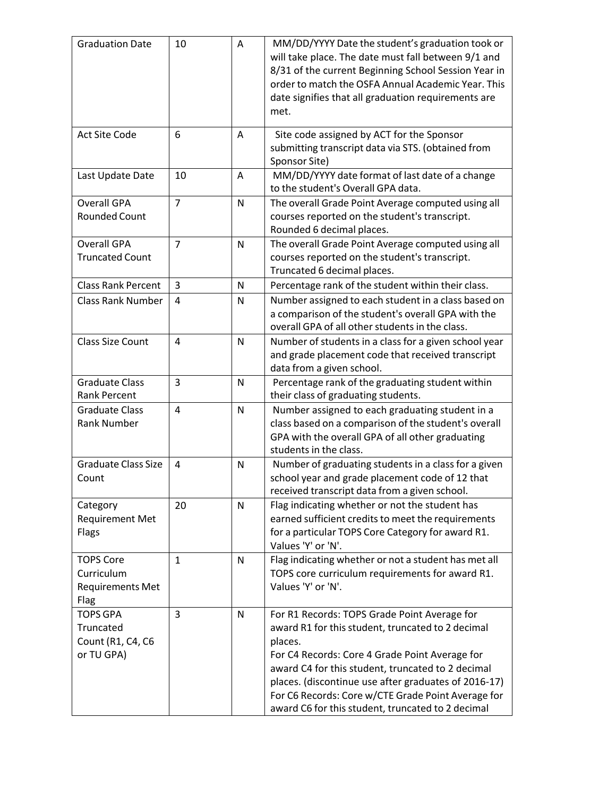| <b>Graduation Date</b>                                            | 10             | Α            | MM/DD/YYYY Date the student's graduation took or<br>will take place. The date must fall between 9/1 and<br>8/31 of the current Beginning School Session Year in<br>order to match the OSFA Annual Academic Year. This<br>date signifies that all graduation requirements are<br>met.                                                                                                   |
|-------------------------------------------------------------------|----------------|--------------|----------------------------------------------------------------------------------------------------------------------------------------------------------------------------------------------------------------------------------------------------------------------------------------------------------------------------------------------------------------------------------------|
| <b>Act Site Code</b>                                              | 6              | A            | Site code assigned by ACT for the Sponsor<br>submitting transcript data via STS. (obtained from<br>Sponsor Site)                                                                                                                                                                                                                                                                       |
| Last Update Date                                                  | 10             | Α            | MM/DD/YYYY date format of last date of a change<br>to the student's Overall GPA data.                                                                                                                                                                                                                                                                                                  |
| <b>Overall GPA</b><br><b>Rounded Count</b>                        | $\overline{7}$ | N            | The overall Grade Point Average computed using all<br>courses reported on the student's transcript.<br>Rounded 6 decimal places.                                                                                                                                                                                                                                                       |
| <b>Overall GPA</b><br><b>Truncated Count</b>                      | $\overline{7}$ | $\mathsf{N}$ | The overall Grade Point Average computed using all<br>courses reported on the student's transcript.<br>Truncated 6 decimal places.                                                                                                                                                                                                                                                     |
| <b>Class Rank Percent</b>                                         | 3              | N            | Percentage rank of the student within their class.                                                                                                                                                                                                                                                                                                                                     |
| <b>Class Rank Number</b>                                          | 4              | N            | Number assigned to each student in a class based on<br>a comparison of the student's overall GPA with the<br>overall GPA of all other students in the class.                                                                                                                                                                                                                           |
| <b>Class Size Count</b>                                           | 4              | N            | Number of students in a class for a given school year<br>and grade placement code that received transcript<br>data from a given school.                                                                                                                                                                                                                                                |
| <b>Graduate Class</b><br><b>Rank Percent</b>                      | 3              | N            | Percentage rank of the graduating student within<br>their class of graduating students.                                                                                                                                                                                                                                                                                                |
| <b>Graduate Class</b><br><b>Rank Number</b>                       | $\overline{4}$ | N            | Number assigned to each graduating student in a<br>class based on a comparison of the student's overall<br>GPA with the overall GPA of all other graduating<br>students in the class.                                                                                                                                                                                                  |
| <b>Graduate Class Size</b><br>Count                               | 4              | $\mathsf{N}$ | Number of graduating students in a class for a given<br>school year and grade placement code of 12 that<br>received transcript data from a given school.                                                                                                                                                                                                                               |
| Category<br><b>Requirement Met</b><br>Flags                       | 20             | N            | Flag indicating whether or not the student has<br>earned sufficient credits to meet the requirements<br>for a particular TOPS Core Category for award R1.<br>Values 'Y' or 'N'.                                                                                                                                                                                                        |
| <b>TOPS Core</b><br>Curriculum<br><b>Requirements Met</b><br>Flag | $\mathbf{1}$   | N            | Flag indicating whether or not a student has met all<br>TOPS core curriculum requirements for award R1.<br>Values 'Y' or 'N'.                                                                                                                                                                                                                                                          |
| <b>TOPS GPA</b><br>Truncated<br>Count (R1, C4, C6<br>or TU GPA)   | 3              | N            | For R1 Records: TOPS Grade Point Average for<br>award R1 for this student, truncated to 2 decimal<br>places.<br>For C4 Records: Core 4 Grade Point Average for<br>award C4 for this student, truncated to 2 decimal<br>places. (discontinue use after graduates of 2016-17)<br>For C6 Records: Core w/CTE Grade Point Average for<br>award C6 for this student, truncated to 2 decimal |